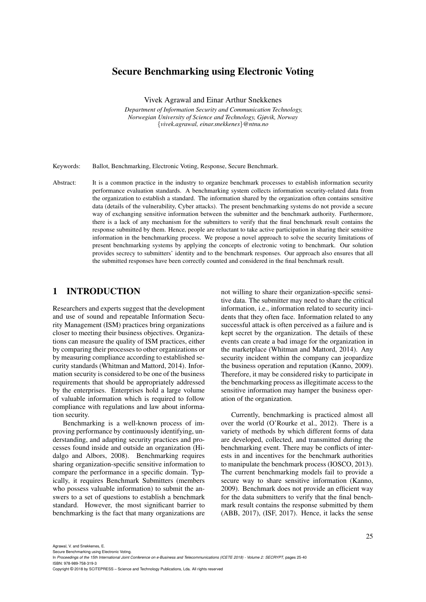# Secure Benchmarking using Electronic Voting

Vivek Agrawal and Einar Arthur Snekkenes

*Department of Information Security and Communication Technology, Norwegian University of Science and Technology, Gjøvik, Norway* {*vivek.agrawal, einar.snekkenes*}*@ntnu.no*

Keywords: Ballot, Benchmarking, Electronic Voting, Response, Secure Benchmark.

Abstract: It is a common practice in the industry to organize benchmark processes to establish information security performance evaluation standards. A benchmarking system collects information security-related data from the organization to establish a standard. The information shared by the organization often contains sensitive data (details of the vulnerability, Cyber attacks). The present benchmarking systems do not provide a secure way of exchanging sensitive information between the submitter and the benchmark authority. Furthermore, there is a lack of any mechanism for the submitters to verify that the final benchmark result contains the response submitted by them. Hence, people are reluctant to take active participation in sharing their sensitive information in the benchmarking process. We propose a novel approach to solve the security limitations of present benchmarking systems by applying the concepts of electronic voting to benchmark. Our solution provides secrecy to submitters' identity and to the benchmark responses. Our approach also ensures that all the submitted responses have been correctly counted and considered in the final benchmark result.

## 1 INTRODUCTION

Researchers and experts suggest that the development and use of sound and repeatable Information Security Management (ISM) practices bring organizations closer to meeting their business objectives. Organizations can measure the quality of ISM practices, either by comparing their processes to other organizations or by measuring compliance according to established security standards (Whitman and Mattord, 2014). Information security is considered to be one of the business requirements that should be appropriately addressed by the enterprises. Enterprises hold a large volume of valuable information which is required to follow compliance with regulations and law about information security.

Benchmarking is a well-known process of improving performance by continuously identifying, understanding, and adapting security practices and processes found inside and outside an organization (Hidalgo and Albors, 2008). Benchmarking requires sharing organization-specific sensitive information to compare the performance in a specific domain. Typically, it requires Benchmark Submitters (members who possess valuable information) to submit the answers to a set of questions to establish a benchmark standard. However, the most significant barrier to benchmarking is the fact that many organizations are not willing to share their organization-specific sensitive data. The submitter may need to share the critical information, i.e., information related to security incidents that they often face. Information related to any successful attack is often perceived as a failure and is kept secret by the organization. The details of these events can create a bad image for the organization in the marketplace (Whitman and Mattord, 2014). Any security incident within the company can jeopardize the business operation and reputation (Kanno, 2009). Therefore, it may be considered risky to participate in the benchmarking process as illegitimate access to the sensitive information may hamper the business operation of the organization.

Currently, benchmarking is practiced almost all over the world (O'Rourke et al., 2012). There is a variety of methods by which different forms of data are developed, collected, and transmitted during the benchmarking event. There may be conflicts of interests in and incentives for the benchmark authorities to manipulate the benchmark process (IOSCO, 2013). The current benchmarking models fail to provide a secure way to share sensitive information (Kanno, 2009). Benchmark does not provide an efficient way for the data submitters to verify that the final benchmark result contains the response submitted by them (ABB, 2017), (ISF, 2017). Hence, it lacks the sense

Agrawal, V. and Snekkenes, E.

Secure Benchmarking using Electronic Voting. In *Proceedings of the 15th International Joint Conference on e-Business and Telecommunications (ICETE 2018) - Volume 2: SECRYPT*, pages 25-40

ISBN: 978-989-758-319-3

Copyright © 2018 by SCITEPRESS – Science and Technology Publications, Lda. All rights reserved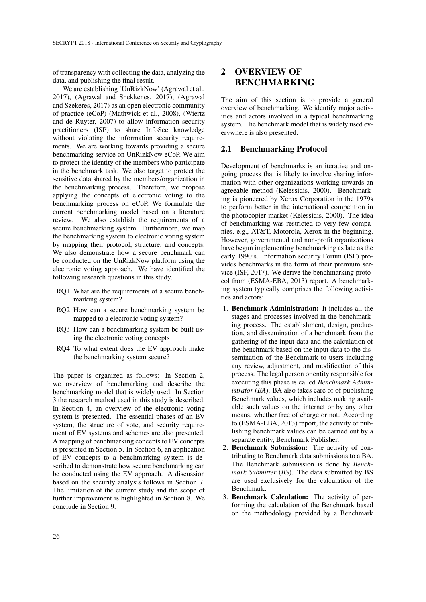of transparency with collecting the data, analyzing the data, and publishing the final result.

We are establishing 'UnRizkNow' (Agrawal et al., 2017), (Agrawal and Snekkenes, 2017), (Agrawal and Szekeres, 2017) as an open electronic community of practice (eCoP) (Mathwick et al., 2008), (Wiertz and de Ruyter, 2007) to allow information security practitioners (ISP) to share InfoSec knowledge without violating the information security requirements. We are working towards providing a secure benchmarking service on UnRizkNow eCoP. We aim to protect the identity of the members who participate in the benchmark task. We also target to protect the sensitive data shared by the members/organization in the benchmarking process. Therefore, we propose applying the concepts of electronic voting to the benchmarking process on eCoP. We formulate the current benchmarking model based on a literature review. We also establish the requirements of a secure benchmarking system. Furthermore, we map the benchmarking system to electronic voting system by mapping their protocol, structure, and concepts. We also demonstrate how a secure benchmark can be conducted on the UnRizkNow platform using the electronic voting approach. We have identified the following research questions in this study.

- RQ1 What are the requirements of a secure benchmarking system?
- RQ2 How can a secure benchmarking system be mapped to a electronic voting system?
- RQ3 How can a benchmarking system be built using the electronic voting concepts
- RQ4 To what extent does the EV approach make the benchmarking system secure?

The paper is organized as follows: In Section 2, we overview of benchmarking and describe the benchmarking model that is widely used. In Section 3 the research method used in this study is described. In Section 4, an overview of the electronic voting system is presented. The essential phases of an EV system, the structure of vote, and security requirement of EV systems and schemes are also presented. A mapping of benchmarking concepts to EV concepts is presented in Section 5. In Section 6, an application of EV concepts to a benchmarking system is described to demonstrate how secure benchmarking can be conducted using the EV approach. A discussion based on the security analysis follows in Section 7. The limitation of the current study and the scope of further improvement is highlighted in Section 8. We conclude in Section 9.

# 2 OVERVIEW OF BENCHMARKING

The aim of this section is to provide a general overview of benchmarking. We identify major activities and actors involved in a typical benchmarking system. The benchmark model that is widely used everywhere is also presented.

### 2.1 Benchmarking Protocol

Development of benchmarks is an iterative and ongoing process that is likely to involve sharing information with other organizations working towards an agreeable method (Kelessidis, 2000). Benchmarking is pioneered by Xerox Corporation in the 1979s to perform better in the international competition in the photocopier market (Kelessidis, 2000). The idea of benchmarking was restricted to very few companies, e.g., AT&T, Motorola, Xerox in the beginning. However, governmental and non-profit organizations have begun implementing benchmarking as late as the early 1990's. Information security Forum (ISF) provides benchmarks in the form of their premium service (ISF, 2017). We derive the benchmarking protocol from (ESMA-EBA, 2013) report. A benchmarking system typically comprises the following activities and actors:

- 1. Benchmark Administration: It includes all the stages and processes involved in the benchmarking process. The establishment, design, production, and dissemination of a benchmark from the gathering of the input data and the calculation of the benchmark based on the input data to the dissemination of the Benchmark to users including any review, adjustment, and modification of this process. The legal person or entity responsible for executing this phase is called *Benchmark Administrator* (*BA*). BA also takes care of of publishing Benchmark values, which includes making available such values on the internet or by any other means, whether free of charge or not. According to (ESMA-EBA, 2013) report, the activity of publishing benchmark values can be carried out by a separate entity, Benchmark Publisher.
- 2. Benchmark Submission: The activity of contributing to Benchmark data submissions to a BA. The Benchmark submission is done by *Benchmark Submitter* (*BS*). The data submitted by BS are used exclusively for the calculation of the Benchmark.
- 3. Benchmark Calculation: The activity of performing the calculation of the Benchmark based on the methodology provided by a Benchmark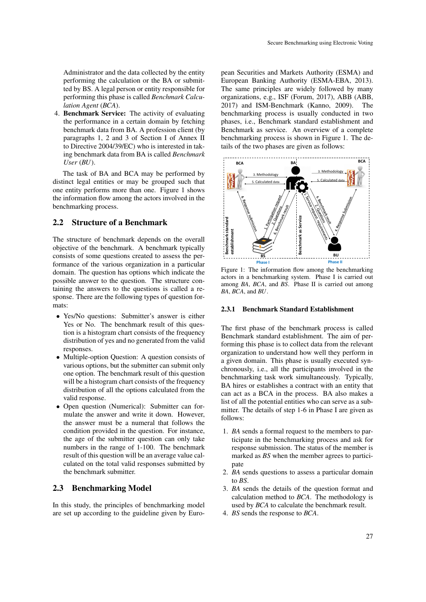Administrator and the data collected by the entity performing the calculation or the BA or submitted by BS. A legal person or entity responsible for performing this phase is called *Benchmark Calculation Agent* (*BCA*).

4. Benchmark Service: The activity of evaluating the performance in a certain domain by fetching benchmark data from BA. A profession client (by paragraphs 1, 2 and 3 of Section I of Annex II to Directive 2004/39/EC) who is interested in taking benchmark data from BA is called *Benchmark User* (*BU*).

The task of BA and BCA may be performed by distinct legal entities or may be grouped such that one entity performs more than one. Figure 1 shows the information flow among the actors involved in the benchmarking process.

### 2.2 Structure of a Benchmark

The structure of benchmark depends on the overall objective of the benchmark. A benchmark typically consists of some questions created to assess the performance of the various organization in a particular domain. The question has options which indicate the possible answer to the question. The structure containing the answers to the questions is called a response. There are the following types of question formats:

- Yes/No questions: Submitter's answer is either Yes or No. The benchmark result of this question is a histogram chart consists of the frequency distribution of yes and no generated from the valid responses.
- Multiple-option Question: A question consists of various options, but the submitter can submit only one option. The benchmark result of this question will be a histogram chart consists of the frequency distribution of all the options calculated from the valid response.
- Open question (Numerical): Submitter can formulate the answer and write it down. However, the answer must be a numeral that follows the condition provided in the question. For instance, the age of the submitter question can only take numbers in the range of 1-100. The benchmark result of this question will be an average value calculated on the total valid responses submitted by the benchmark submitter.

## 2.3 Benchmarking Model

In this study, the principles of benchmarking model are set up according to the guideline given by European Securities and Markets Authority (ESMA) and European Banking Authority (ESMA-EBA, 2013). The same principles are widely followed by many organizations, e.g., ISF (Forum, 2017), ABB (ABB, 2017) and ISM-Benchmark (Kanno, 2009). The benchmarking process is usually conducted in two phases, i.e., Benchmark standard establishment and Benchmark as service. An overview of a complete benchmarking process is shown in Figure 1. The details of the two phases are given as follows:



Figure 1: The information flow among the benchmarking actors in a benchmarking system. Phase I is carried out among *BA*, *BCA*, and *BS*. Phase II is carried out among *BA*, *BCA*, and *BU*.

### 2.3.1 Benchmark Standard Establishment

The first phase of the benchmark process is called Benchmark standard establishment. The aim of performing this phase is to collect data from the relevant organization to understand how well they perform in a given domain. This phase is usually executed synchronously, i.e., all the participants involved in the benchmarking task work simultaneously. Typically, BA hires or establishes a contract with an entity that can act as a BCA in the process. BA also makes a list of all the potential entities who can serve as a submitter. The details of step 1-6 in Phase I are given as follows:

- 1. *BA* sends a formal request to the members to participate in the benchmarking process and ask for response submission. The status of the member is marked as *BS* when the member agrees to participate
- 2. *BA* sends questions to assess a particular domain to *BS*.
- 3. *BA* sends the details of the question format and calculation method to *BCA*. The methodology is used by *BCA* to calculate the benchmark result.
- 4. *BS* sends the response to *BCA*.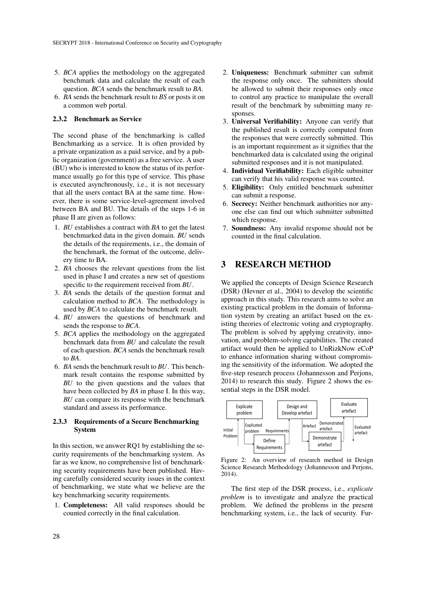- 5. *BCA* applies the methodology on the aggregated benchmark data and calculate the result of each question. *BCA* sends the benchmark result to *BA*.
- 6. *BA* sends the benchmark result to *BS* or posts it on a common web portal.

#### 2.3.2 Benchmark as Service

The second phase of the benchmarking is called Benchmarking as a service. It is often provided by a private organization as a paid service, and by a public organization (government) as a free service. A user (BU) who is interested to know the status of its performance usually go for this type of service. This phase is executed asynchronously, i.e., it is not necessary that all the users contact BA at the same time. However, there is some service-level-agreement involved between BA and BU. The details of the steps 1-6 in phase II are given as follows:

- 1. *BU* establishes a contract with *BA* to get the latest benchmarked data in the given domain. *BU* sends the details of the requirements, i.e., the domain of the benchmark, the format of the outcome, delivery time to BA.
- 2. *BA* chooses the relevant questions from the list used in phase I and creates a new set of questions specific to the requirement received from *BU*.
- 3. *BA* sends the details of the question format and calculation method to *BCA*. The methodology is used by *BCA* to calculate the benchmark result.
- 4. *BU* answers the questions of benchmark and sends the response to *BCA*.
- 5. *BCA* applies the methodology on the aggregated benchmark data from *BU* and calculate the result of each question. *BCA* sends the benchmark result to *BA*.
- 6. *BA* sends the benchmark result to *BU*. This benchmark result contains the response submitted by *BU* to the given questions and the values that have been collected by *BA* in phase I. In this way, *BU* can compare its response with the benchmark standard and assess its performance.

#### 2.3.3 Requirements of a Secure Benchmarking System

In this section, we answer RQ1 by establishing the security requirements of the benchmarking system. As far as we know, no comprehensive list of benchmarking security requirements have been published. Having carefully considered security issues in the context of benchmarking, we state what we believe are the key benchmarking security requirements.

1. Completeness: All valid responses should be counted correctly in the final calculation.

- 2. Uniqueness: Benchmark submitter can submit the response only once. The submitters should be allowed to submit their responses only once to control any practice to manipulate the overall result of the benchmark by submitting many responses.
- 3. Universal Verifiability: Anyone can verify that the published result is correctly computed from the responses that were correctly submitted. This is an important requirement as it signifies that the benchmarked data is calculated using the original submitted responses and it is not manipulated.
- 4. Individual Verifiability: Each eligible submitter can verify that his valid response was counted.
- 5. Eligibility: Only entitled benchmark submitter can submit a response.
- 6. Secrecy: Neither benchmark authorities nor anyone else can find out which submitter submitted which response.
- 7. Soundness: Any invalid response should not be counted in the final calculation.

# 3 RESEARCH METHOD

We applied the concepts of Design Science Research (DSR) (Hevner et al., 2004) to develop the scientific approach in this study. This research aims to solve an existing practical problem in the domain of Information system by creating an artifact based on the existing theories of electronic voting and cryptography. The problem is solved by applying creativity, innovation, and problem-solving capabilities. The created artifact would then be applied to UnRizkNow eCoP to enhance information sharing without compromising the sensitivity of the information. We adopted the five-step research process (Johannesson and Perjons, 2014) to research this study. Figure 2 shows the essential steps in the DSR model.



Figure 2: An overview of research method in Design Science Research Methodology (Johannesson and Perjons, 2014).

The first step of the DSR process, i.e., *explicate problem* is to investigate and analyze the practical problem. We defined the problems in the present benchmarking system, i.e., the lack of security. Fur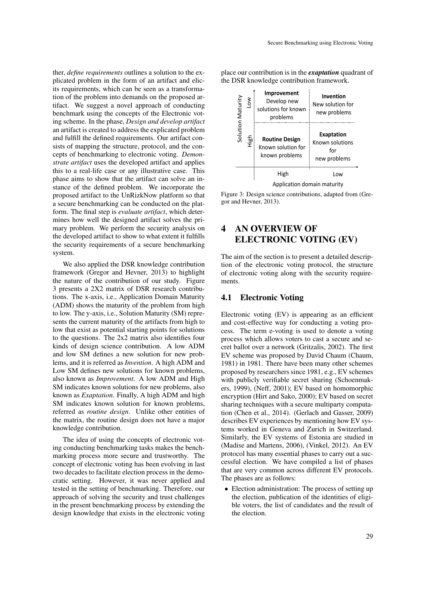ther, *define requirements* outlines a solution to the explicated problem in the form of an artifact and elicits requirements, which can be seen as a transformation of the problem into demands on the proposed artifact. We suggest a novel approach of conducting benchmark using the concepts of the Electronic voting scheme. In the phase, *Design and develop artifact* an artifact is created to address the explicated problem and fulfill the defined requirements. Our artifact consists of mapping the structure, protocol, and the concepts of benchmarking to electronic voting. *Demonstrate artifact* uses the developed artifact and applies this to a real-life case or any illustrative case. This phase aims to show that the artifact can solve an instance of the defined problem. We incorporate the proposed artifact to the UnRizkNow platform so that a secure benchmarking can be conducted on the platform. The final step is *evaluate artifact*, which determines how well the designed artifact solves the primary problem. We perform the security analysis on the developed artifact to show to what extent it fulfills the security requirements of a secure benchmarking system.

We also applied the DSR knowledge contribution framework (Gregor and Hevner, 2013) to highlight the nature of the contribution of our study. Figure 3 presents a 2X2 matrix of DSR research contributions. The x-axis, i.e., Application Domain Maturity (ADM) shows the maturity of the problem from high to low. The y-axis, i.e., Solution Maturity (SM) represents the current maturity of the artifacts from high to low that exist as potential starting points for solutions to the questions. The 2x2 matrix also identifies four kinds of design science contribution. A low ADM and low SM defines a new solution for new problems, and it is referred as *Invention*. A high ADM and Low SM defines new solutions for known problems, also known as *Improvement*. A low ADM and High SM indicates known solutions for new problems, also known as *Exaptation*. Finally, A high ADM and high SM indicates known solution for known problems, referred as *routine design*. Unlike other entities of the matrix, the routine design does not have a major knowledge contribution.

The idea of using the concepts of electronic voting conducting benchmarking tasks makes the benchmarking process more secure and trustworthy. The concept of electronic voting has been evolving in last two decades to facilitate election process in the democratic setting. However, it was never applied and tested in the setting of benchmarking. Therefore, our approach of solving the security and trust challenges in the present benchmarking process by extending the design knowledge that exists in the electronic voting

place our contribution is in the *exaptation* quadrant of the DSR knowledge contribution framework.



Figure 3: Design science contributions, adapted from (Gregor and Hevner, 2013).

# 4 AN OVERVIEW OF ELECTRONIC VOTING (EV)

The aim of the section is to present a detailed description of the electronic voting protocol, the structure of electronic voting along with the security requirements.

### 4.1 Electronic Voting

Electronic voting (EV) is appearing as an efficient and cost-effective way for conducting a voting process. The term e-voting is used to denote a voting process which allows voters to cast a secure and secret ballot over a network (Gritzalis, 2002). The first EV scheme was proposed by David Chaum (Chaum, 1981) in 1981. There have been many other schemes proposed by researchers since 1981, e.g., EV schemes with publicly verifiable secret sharing (Schoenmakers, 1999), (Neff, 2001); EV based on homomorphic encryption (Hirt and Sako, 2000); EV based on secret sharing techniques with a secure multiparty computation (Chen et al., 2014). (Gerlach and Gasser, 2009) describes EV experiences by mentioning how EV systems worked in Geneva and Zurich in Switzerland. Similarly, the EV systems of Estonia are studied in (Madise and Martens, 2006), (Vinkel, 2012). An EV protocol has many essential phases to carry out a successful election. We have compiled a list of phases that are very common across different EV protocols. The phases are as follows:

• Election administration: The process of setting up the election, publication of the identities of eligible voters, the list of candidates and the result of the election.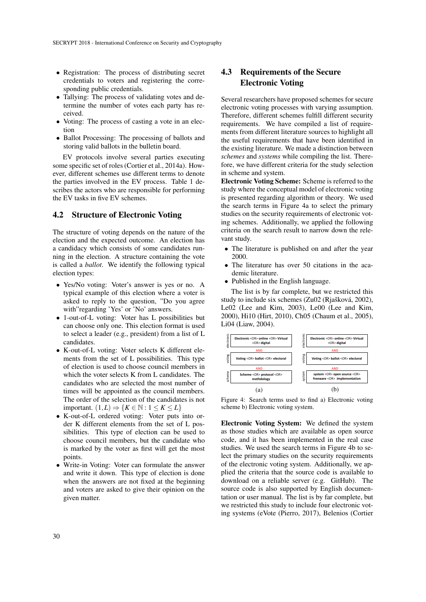- Registration: The process of distributing secret credentials to voters and registering the corresponding public credentials.
- Tallying: The process of validating votes and determine the number of votes each party has received.
- Voting: The process of casting a vote in an election
- Ballot Processing: The processing of ballots and storing valid ballots in the bulletin board.

EV protocols involve several parties executing some specific set of roles (Cortier et al., 2014a). However, different schemes use different terms to denote the parties involved in the EV process. Table 1 describes the actors who are responsible for performing the EV tasks in five EV schemes.

## 4.2 Structure of Electronic Voting

The structure of voting depends on the nature of the election and the expected outcome. An election has a candidacy which consists of some candidates running in the election. A structure containing the vote is called a *ballot*. We identify the following typical election types:

- Yes/No voting: Voter's answer is yes or no. A typical example of this election where a voter is asked to reply to the question, "Do you agree with"regarding 'Yes' or 'No' answers.
- 1-out-of-L voting: Voter has L possibilities but can choose only one. This election format is used to select a leader (e.g., president) from a list of L candidates.
- K-out-of-L voting: Voter selects K different elements from the set of L possibilities. This type of election is used to choose council members in which the voter selects K from L candidates. The candidates who are selected the most number of times will be appointed as the council members. The order of the selection of the candidates is not important.  $(1,L) \Rightarrow \{K \in \mathbb{N} : 1 \leq K \leq L\}$
- K-out-of-L ordered voting: Voter puts into order K different elements from the set of L possibilities. This type of election can be used to choose council members, but the candidate who is marked by the voter as first will get the most points.
- Write-in Voting: Voter can formulate the answer and write it down. This type of election is done when the answers are not fixed at the beginning and voters are asked to give their opinion on the given matter.

# 4.3 Requirements of the Secure Electronic Voting

Several researchers have proposed schemes for secure electronic voting processes with varying assumption. Therefore, different schemes fulfill different security requirements. We have compiled a list of requirements from different literature sources to highlight all the useful requirements that have been identified in the existing literature. We made a distinction between *schemes* and *systems* while compiling the list. Therefore, we have different criteria for the study selection in scheme and system.

Electronic Voting Scheme: Scheme is referred to the study where the conceptual model of electronic voting is presented regarding algorithm or theory. We used the search terms in Figure 4a to select the primary studies on the security requirements of electronic voting schemes. Additionally, we applied the following criteria on the search result to narrow down the relevant study.

- The literature is published on and after the year 2000.
- The literature has over 50 citations in the academic literature.
- Published in the English language.

The list is by far complete, but we restricted this study to include six schemes (Zu02 (Rjašková, 2002), Le02 (Lee and Kim, 2003), Le00 (Lee and Kim, 2000), Hi10 (Hirt, 2010), Ch05 (Chaum et al., 2005), Li04 (Liaw, 2004).



Figure 4: Search terms used to find a) Electronic voting scheme b) Electronic voting system.

Electronic Voting System: We defined the system as those studies which are available as open source code, and it has been implemented in the real case studies. We used the search terms in Figure 4b to select the primary studies on the security requirements of the electronic voting system. Additionally, we applied the criteria that the source code is available to download on a reliable server (e.g. GitHub). The source code is also supported by English documentation or user manual. The list is by far complete, but we restricted this study to include four electronic voting systems (eVote (Pierro, 2017), Belenios (Cortier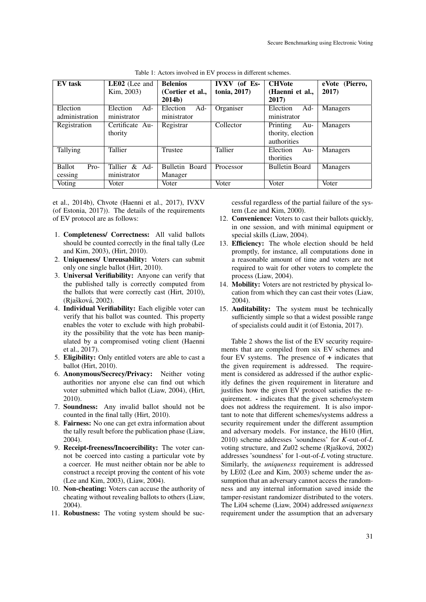| EV task                            | <b>LE02</b> (Lee and<br>Kim, 2003) | <b>Belenios</b><br>(Cortier et al.,<br><b>2014b</b> ) | <b>IVXV</b> (of Es-<br>tonia, 2017) | <b>CHVote</b><br>(Haenni et al.,<br>2017)           | eVote (Pierro,<br>2017) |
|------------------------------------|------------------------------------|-------------------------------------------------------|-------------------------------------|-----------------------------------------------------|-------------------------|
| Election<br>administration         | Election<br>$Ad-$<br>ministrator   | $Ad-$<br>Election<br>ministrator                      | Organiser                           | $Ad-$<br>Election<br>ministrator                    | Managers                |
| Registration                       | Certificate Au-<br>thority         | Registrar                                             | Collector                           | Printing<br>Au-<br>thority, election<br>authorities | Managers                |
| Tallying                           | Tallier                            | Trustee                                               | Tallier                             | Election<br>Au-<br>thorities                        | Managers                |
| <b>Ballot</b><br>$Pro-$<br>cessing | Tallier & Ad-<br>ministrator       | Bulletin Board<br>Manager                             | Processor                           | <b>Bulletin Board</b>                               | <b>Managers</b>         |
| Voting                             | Voter                              | Voter                                                 | Voter                               | Voter                                               | Voter                   |

Table 1: Actors involved in EV process in different schemes.

et al., 2014b), Chvote (Haenni et al., 2017), IVXV (of Estonia, 2017)). The details of the requirements of EV protocol are as follows:

- 1. Completeness/ Correctness: All valid ballots should be counted correctly in the final tally (Lee and Kim, 2003), (Hirt, 2010).
- 2. Uniqueness/ Unreusability: Voters can submit only one single ballot (Hirt, 2010).
- 3. Universal Verifiability: Anyone can verify that the published tally is correctly computed from the ballots that were correctly cast (Hirt, 2010), (Rjašková, 2002).
- 4. Individual Verifiability: Each eligible voter can verify that his ballot was counted. This property enables the voter to exclude with high probability the possibility that the vote has been manipulated by a compromised voting client (Haenni et al., 2017).
- 5. Eligibility: Only entitled voters are able to cast a ballot (Hirt, 2010).
- 6. Anonymous/Secrecy/Privacy: Neither voting authorities nor anyone else can find out which voter submitted which ballot (Liaw, 2004), (Hirt, 2010).
- 7. Soundness: Any invalid ballot should not be counted in the final tally (Hirt, 2010).
- 8. Fairness: No one can get extra information about the tally result before the publication phase (Liaw, 2004).
- 9. Receipt-freeness/Incoercibility: The voter cannot be coerced into casting a particular vote by a coercer. He must neither obtain nor be able to construct a receipt proving the content of his vote (Lee and Kim, 2003), (Liaw, 2004).
- 10. Non-cheating: Voters can accuse the authority of cheating without revealing ballots to others (Liaw, 2004).
- 11. Robustness: The voting system should be suc-

cessful regardless of the partial failure of the system (Lee and Kim, 2000).

- 12. Convenience: Voters to cast their ballots quickly, in one session, and with minimal equipment or special skills (Liaw, 2004).
- 13. Efficiency: The whole election should be held promptly, for instance, all computations done in a reasonable amount of time and voters are not required to wait for other voters to complete the process (Liaw, 2004).
- 14. Mobility: Voters are not restricted by physical location from which they can cast their votes (Liaw, 2004).
- 15. Auditability: The system must be technically sufficiently simple so that a widest possible range of specialists could audit it (of Estonia, 2017).

Table 2 shows the list of the EV security requirements that are compiled from six EV schemes and four EV systems. The presence of + indicates that the given requirement is addressed. The requirement is considered as addressed if the author explicitly defines the given requirement in literature and justifies how the given EV protocol satisfies the requirement. - indicates that the given scheme/system does not address the requirement. It is also important to note that different schemes/systems address a security requirement under the different assumption and adversary models. For instance, the Hi10 (Hirt, 2010) scheme addresses 'soundness' for *K*-out-of-*L* voting structure, and Zu02 scheme (Rjašková, 2002) addresses 'soundness' for 1-out-of-*L* voting structure. Similarly, the *uniqueness* requirement is addressed by LE02 (Lee and Kim, 2003) scheme under the assumption that an adversary cannot access the randomness and any internal information saved inside the tamper-resistant randomizer distributed to the voters. The Li04 scheme (Liaw, 2004) addressed *uniqueness* requirement under the assumption that an adversary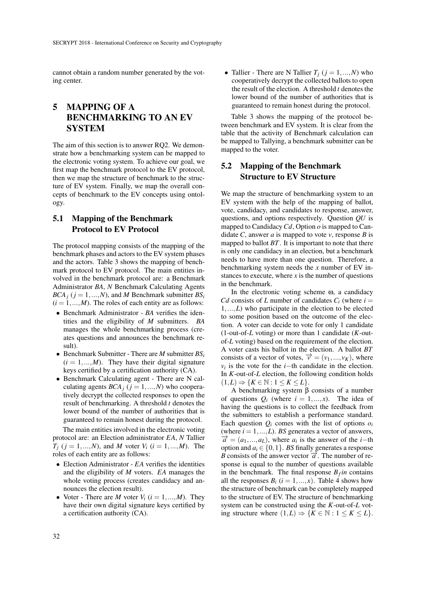cannot obtain a random number generated by the voting center.

# 5 MAPPING OF A BENCHMARKING TO AN EV **SYSTEM**

The aim of this section is to answer RQ2. We demonstrate how a benchmarking system can be mapped to the electronic voting system. To achieve our goal, we first map the benchmark protocol to the EV protocol, then we map the structure of benchmark to the structure of EV system. Finally, we map the overall concepts of benchmark to the EV concepts using ontology.

# 5.1 Mapping of the Benchmark Protocol to EV Protocol

The protocol mapping consists of the mapping of the benchmark phases and actors to the EV system phases and the actors. Table 3 shows the mapping of benchmark protocol to EV protocol. The main entities involved in the benchmark protocol are: a Benchmark Administrator *BA*, *N* Benchmark Calculating Agents *BCA*<sup>*j*</sup> ( $j = 1,...,N$ ), and *M* Benchmark submitter *BS*<sup>*j*</sup>  $(i = 1, ..., M)$ . The roles of each entity are as follows:

- Benchmark Administrator *BA* verifies the identities and the eligibility of *M* submitters. *BA* manages the whole benchmarking process (creates questions and announces the benchmark result).
- Benchmark Submitter There are *M* submitter *BS<sup>i</sup>*  $(i = 1, ..., M)$ . They have their digital signature keys certified by a certification authority (CA).
- Benchmark Calculating agent There are N calculating agents  $BCA_j$  ( $j = 1,...,N$ ) who cooperatively decrypt the collected responses to open the result of benchmarking. A threshold *t* denotes the lower bound of the number of authorities that is guaranteed to remain honest during the protocol.

The main entities involved in the electronic voting protocol are: an Election administrator *EA*, *N* Tallier *T*<sub>*j*</sub> (*j* = 1,...,*N*), and *M* voter  $V_i$  (*i* = 1,...,*M*). The roles of each entity are as follows:

- Election Administrator *EA* verifies the identities and the eligibility of *M* voters. *EA* manages the whole voting process (creates candidacy and announces the election result).
- Voter There are *M* voter  $V_i$  ( $i = 1,...,M$ ). They have their own digital signature keys certified by a certification authority (CA).

• Tallier - There are N Tallier  $T_j$  ( $j = 1, ..., N$ ) who cooperatively decrypt the collected ballots to open the result of the election. A threshold *t* denotes the lower bound of the number of authorities that is guaranteed to remain honest during the protocol.

Table 3 shows the mapping of the protocol between benchmark and EV system. It is clear from the table that the activity of Benchmark calculation can be mapped to Tallying, a benchmark submitter can be mapped to the voter.

# 5.2 Mapping of the Benchmark Structure to EV Structure

We map the structure of benchmarking system to an EV system with the help of the mapping of ballot, vote, candidacy, and candidates to response, answer, questions, and options respectively. Question *QU* is mapped to Candidacy*Cd*, Option *o* is mapped to Candidate *C*, answer *a* is mapped to vote *v*, response *B* is mapped to ballot *BT*. It is important to note that there is only one candidacy in an election, but a benchmark needs to have more than one question. Therefore, a benchmarking system needs the *x* number of EV instances to execute, where  $x$  is the number of questions in the benchmark.

In the electronic voting scheme  $\omega$ , a candidacy *Cd* consists of *L* number of candidates  $C_i$  (where  $i =$ 1,...,*L*) who participate in the election to be elected to some position based on the outcome of the election. A voter can decide to vote for only 1 candidate (1-out-of-*L* voting) or more than 1 candidate (*K*-outof-*L* voting) based on the requirement of the election. A voter casts his ballot in the election. A ballot *BT* consists of a vector of votes,  $\vec{v} = (v_1, ..., v_K)$ , where  $v_i$  is the vote for the *i*−th candidate in the election. In *K*-out-of-*L* election, the following condition holds  $(1,L) \Rightarrow \{K \in \mathbb{N} : 1 \leq K \leq L\}.$ 

A benchmarking system  $β$  consists of a number of questions  $Q_i$  (where  $i = 1,...,x$ ). The idea of having the questions is to collect the feedback from the submitters to establish a performance standard. Each question  $Q_i$  comes with the list of options  $Q_i$ (where  $i = 1, \ldots, L$ ). *BS* generates a vector of answers,  $\vec{a} = (a_1, ..., a_L)$ , where  $a_i$  is the answer of the *i*−th option and  $a_i \in \{0, 1\}$ . *BS* finally generates a response *B* consists of the answer vector  $\vec{a}$ . The number of response is equal to the number of questions available in the benchmark. The final response  $B_f$ *in* contains all the responses  $B_i$  ( $i = 1, ..., x$ ). Table 4 shows how the structure of benchmark can be completely mapped to the structure of EV. The structure of benchmarking system can be constructed using the *K*-out-of-*L* voting structure where  $(1,L) \Rightarrow \{K \in \mathbb{N} : 1 \leq K \leq L\}.$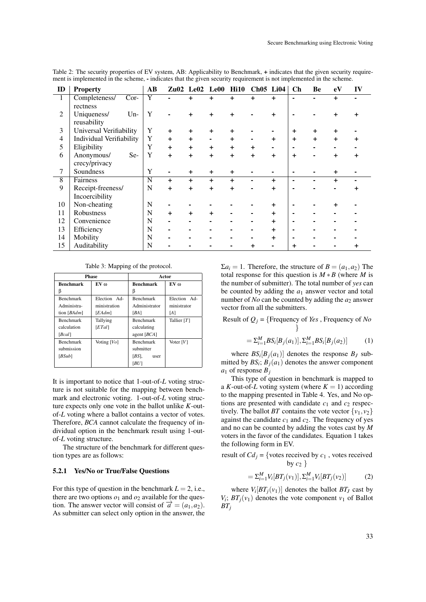| ID             | <b>Property</b>          | AB |     |           | Zu02 Le02 Le00 Hi10 |           | <b>Ch05 Li04</b> |           | Ch        | Be             | eV        | IV             |
|----------------|--------------------------|----|-----|-----------|---------------------|-----------|------------------|-----------|-----------|----------------|-----------|----------------|
| $\mathbf{1}$   | Completeness/<br>$Cor-$  | Y  |     | $\ddot{}$ | +                   | $\ddot{}$ | $+$              | $+$       | ۰.        | $\blacksquare$ | $\ddot{}$ | $\blacksquare$ |
|                | rectness                 |    |     |           |                     |           |                  |           |           |                |           |                |
| 2              | $Un-$<br>Uniqueness/     | Y  |     | $\ddot{}$ | +                   | +         |                  | $\ddot{}$ |           |                | $\ddot{}$ | +              |
|                | reusability              |    |     |           |                     |           |                  |           |           |                |           |                |
| 3              | Universal Verifiability  | Y  | $+$ | $\ddot{}$ | +                   | +         |                  |           | $\div$    | $\ddot{}$      | +         |                |
| $\overline{4}$ | Individual Verifiability | Y  | $+$ | $\ddot{}$ | ۰                   | $\ddot{}$ |                  | $\ddot{}$ | $\ddot{}$ | $\ddot{}$      | $\ddot{}$ | +              |
| 5              | Eligibility              | Y  | $+$ | $\ddot{}$ | $\ddot{}$           | $\ddot{}$ | $\ddot{}$        |           | ٠         |                |           |                |
| 6              | Anonymous/<br>Se-        | Y  | $+$ | $\ddot{}$ | $+$                 | $\ddot{}$ | $+$              | $\ddot{}$ | $\ddot{}$ |                | $\ddot{}$ | +              |
|                | crecy/privacy            |    |     |           |                     |           |                  |           |           |                |           |                |
| 7              | Soundness                | Y  |     | $\ddot{}$ | $\ddot{}$           | $\ddot{}$ |                  |           | ۰         |                | +         |                |
| 8              | Fairness                 | N  | $+$ | $+$       | +                   | $\ddot{}$ |                  | +         | ۰         |                | +         |                |
| 9              | Receipt-freeness/        | N  | $+$ | $\ddot{}$ | +                   | $\ddot{}$ |                  | $\ddot{}$ | ۰         |                |           |                |
|                | Incoercibility           |    |     |           |                     |           |                  |           |           |                |           |                |
| 10             | Non-cheating             | N  |     |           |                     |           |                  | +         |           |                | +         |                |
| 11             | Robustness               | N  | $+$ | $\ddot{}$ | $\ddot{}$           |           |                  | +         | ٠         |                |           |                |
| 12             | Convenience              | N  |     |           |                     |           |                  |           | -         |                |           |                |
| 13             | Efficiency               | N  |     |           |                     |           |                  |           | ۰         |                |           |                |
| 14             | Mobility                 | N  |     |           |                     |           |                  | +         | ۰         |                |           |                |
| 15             | Auditability             | N  |     |           |                     |           | +                |           | +         |                |           |                |

Table 2: The security properties of EV system, AB: Applicability to Benchmark, + indicates that the given security requirement is implemented in the scheme, - indicates that the given security requirement is not implemented in the scheme.

Table 3: Mapping of the protocol.

|                  | <b>Phase</b>   | Actor            |                 |  |  |
|------------------|----------------|------------------|-----------------|--|--|
| <b>Benchmark</b> | $EV$ $\omega$  | <b>Benchmark</b> | EV <sub>0</sub> |  |  |
| ß                |                | β                |                 |  |  |
| <b>Benchmark</b> | Election Ad-   | <b>Benchmark</b> | Election Ad-    |  |  |
| Administra-      | ministration   | Administrator    | ministrator     |  |  |
| tion [BAdm]      | [EAdm]         | [BA]             | [A]             |  |  |
| <b>Benchmark</b> | Tallying       | <b>Benchmark</b> | Tallier $[T]$   |  |  |
| calculation      | [ETal]         | calculating      |                 |  |  |
| [Beal]           |                | agent $[BCA]$    |                 |  |  |
| <b>Benchmark</b> | Voting $[V_O]$ | <b>Benchmark</b> | Voter $[V]$     |  |  |
| submission       |                | submitter        |                 |  |  |
| [BSub]           |                | $[BS]$ ,<br>user |                 |  |  |
|                  |                | [BU]             |                 |  |  |

It is important to notice that 1-out-of-*L* voting structure is not suitable for the mapping between benchmark and electronic voting. 1-out-of-*L* voting structure expects only one vote in the ballot unlike *K*-outof-*L* voting where a ballot contains a vector of votes. Therefore, *BCA* cannot calculate the frequency of individual option in the benchmark result using 1-outof-*L* voting structure.

The structure of the benchmark for different question types are as follows:

#### 5.2.1 Yes/No or True/False Questions

For this type of question in the benchmark  $L = 2$ , i.e., there are two options  $o_1$  and  $o_2$  available for the question. The answer vector will consist of  $\vec{a} = (a_1, a_2)$ . As submitter can select only option in the answer, the  $\Sigma a_i = 1$ . Therefore, the structure of  $B = (a_1, a_2)$  The total response for this question is  $M * B$  (where *M* is the number of submitter). The total number of *yes* can be counted by adding the *a*<sup>1</sup> answer vector and total number of *No* can be counted by adding the  $a_2$  answer vector from all the submitters.

Result of *Q<sup>j</sup>* = {Frequency of *Yes* , Frequency of *No* }

$$
= \sum_{i=1}^{M} BS_i[B_j(a_1)], \sum_{i=1}^{M} BS_i[B_j(a_2)] \tag{1}
$$

where  $BS_i[B_j(a_1)]$  denotes the response  $B_j$  submitted by  $BS_i$ ;  $B_j(a_1)$  denotes the answer component *a*<sup>1</sup> of response *B<sup>j</sup>*

This type of question in benchmark is mapped to a *K*-out-of-*L* voting system (where  $K = 1$ ) according to the mapping presented in Table 4. Yes, and No options are presented with candidate  $c_1$  and  $c_2$  respectively. The ballot *BT* contains the vote vector  $\{v_1, v_2\}$ against the candidate  $c_1$  and  $c_2$ . The frequency of yes and no can be counted by adding the votes cast by *M* voters in the favor of the candidates. Equation 1 takes the following form in EV.

result of  $Cd_i$  = {votes received by  $c_1$ , votes received by  $c_2$  }

$$
= \sum_{i=1}^{M} V_i[BT_j(v_1)], \sum_{i=1}^{M} V_i[BT_j(v_2)] \tag{2}
$$

where  $V_i[BT_j(v_1)]$  denotes the ballot  $BT_J$  cast by  $V_i$ ;  $BT_j(v_1)$  denotes the vote component  $v_1$  of Ballot *BT<sup>j</sup>*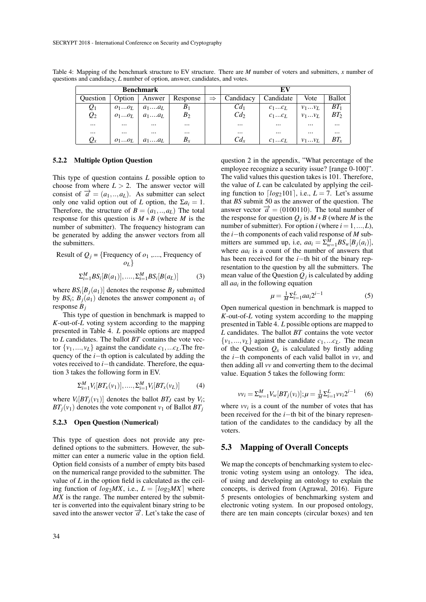| <b>Benchmark</b> |          |                      |                            |               |                 |           |                  |               |  |
|------------------|----------|----------------------|----------------------------|---------------|-----------------|-----------|------------------|---------------|--|
| <b>Ouestion</b>  |          |                      | Option   Answer   Response | $\Rightarrow$ | Candidacy       | Candidate | Vote             | <b>Ballot</b> |  |
| $\mathcal{Q}_1$  |          | $o_1o_L \mid a_1a_L$ | $B_1$                      |               | Cd <sub>1</sub> | $c_1c_L$  | $V_1 \ldots V_L$ | $BT_1$        |  |
| $\mathcal{Q}_2$  | $o_1o_L$ | $a_1 \dots a_L$      | $B_2$                      |               | Cd <sub>2</sub> | $c_1c_L$  | $V_1 \ldots V_L$ | $BT_2$        |  |
| $\cdots$         | $\cdots$ | $\cdots$             | $\cdots$                   |               | $\cdots$        | $\cdots$  | $\cdots$         | $\cdots$      |  |
| $\cdots$         | $\cdots$ | $\cdots$             | $\cdots$                   |               | $\cdots$        | $\cdots$  | $\cdots$         | $\cdots$      |  |

 $Q_x$   $o_1...o_L$   $a_1...a_L$   $B_x$   $c_1...c_L$   $c_1...c_L$   $v_1...v_L$   $B_x$ 

Table 4: Mapping of the benchmark structure to EV structure. There are *M* number of voters and submitters, *x* number of questions and candidacy, *L* number of option, answer, candidates, and votes.

### 5.2.2 Multiple Option Question

This type of question contains *L* possible option to choose from where  $L > 2$ . The answer vector will consist of  $\vec{a} = (a_1, \ldots, a_L)$ . As submitter can select only one valid option out of *L* option, the  $\Sigma a_i = 1$ . Therefore, the structure of  $B = (a_1, \ldots, a_L)$  The total response for this question is  $M * B$  (where *M* is the number of submitter). The frequency histogram can be generated by adding the answer vectors from all the submitters.

Result of 
$$
Q_j
$$
 = {Frequency of  $o_1$ ,....., Frequency of  $o_L$ }

$$
\sum_{i=1}^{M} BS_i[B(a_1)], \dots, \sum_{i=1}^{M} BS_i[B(a_L)] \tag{3}
$$

where  $BS_i[B_j(a_1)]$  denotes the response  $B_j$  submitted by  $BS_i$ ;  $B_j(a_1)$  denotes the answer component  $a_1$  of response *B<sup>j</sup>*

This type of question in benchmark is mapped to *K*-out-of-*L* voting system according to the mapping presented in Table 4. *L* possible options are mapped to *L* candidates. The ballot *BT* contains the vote vector  $\{v_1, \ldots, v_L\}$  against the candidate  $c_1, \ldots, c_L$ . The frequency of the *i*−th option is calculated by adding the votes received to *i*−th candidate. Therefore, the equation 3 takes the following form in EV.

$$
\Sigma_{i=1}^{M} V_i[BT_x(v_1)], \dots, \Sigma_{i=1}^{M} V_i[BT_x(v_L)] \tag{4}
$$

where  $V_i[BT_j(v_1)]$  denotes the ballot  $BT_J$  cast by  $V_i$ ;  $BT_i(v_1)$  denotes the vote component  $v_1$  of Ballot  $BT_i$ 

#### 5.2.3 Open Question (Numerical)

This type of question does not provide any predefined options to the submitters. However, the submitter can enter a numeric value in the option field. Option field consists of a number of empty bits based on the numerical range provided to the submitter. The value of *L* in the option field is calculated as the ceiling function of  $log_2 MX$ , i.e.,  $L = \lfloor log_2MX \rfloor$  where *MX* is the range. The number entered by the submitter is converted into the equivalent binary string to be saved into the answer vector  $\vec{a}$ . Let's take the case of

question 2 in the appendix, "What percentage of the employee recognize a security issue? [range 0-100]". The valid values this question takes is 101. Therefore, the value of *L* can be calculated by applying the ceiling function to  $\lfloor log_2 101 \rfloor$ , i.e.,  $L = 7$ . Let's assume that *BS* submit 50 as the answer of the question. The answer vector  $\vec{a} = (0100110)$ . The total number of the response for question  $Q_j$  is  $M * B$  (where *M* is the number of submitter). For option *i* (where  $i = 1, ..., L$ ), the *i*−th components of each valid response of *M* submitters are summed up, i.e,  $aa_i = \sum_{w=1}^{M} BS_w[B_j(a_i)],$ where  $aa_i$  is a count of the number of answers that has been received for the *i*−th bit of the binary representation to the question by all the submitters. The mean value of the Question  $Q_j$  is calculated by adding all  $aa_i$  in the following equation

$$
\mu = \frac{1}{M} \sum_{i=1}^{L} a a_i 2^{i-1}
$$
 (5)

Open numerical question in benchmark is mapped to *K*-out-of-*L* voting system according to the mapping presented in Table 4. *L* possible options are mapped to *L* candidates. The ballot *BT* contains the vote vector  $\{v_1, \ldots, v_L\}$  against the candidate  $c_1, \ldots, c_L$ . The mean of the Question  $Q_x$  is calculated by firstly adding the *i*−th components of each valid ballot in *vv*, and then adding all *vv* and converting them to the decimal value. Equation 5 takes the following form:

$$
vv_i = \sum_{w=1}^{M} V_w[BT_j(v_i)]; \mu = \frac{1}{M} \sum_{i=1}^{L} vv_i 2^{i-1}
$$
 (6)

where  $vv_i$  is a count of the number of votes that has been received for the *i*−th bit of the binary representation of the candidates to the candidacy by all the voters.

### 5.3 Mapping of Overall Concepts

We map the concepts of benchmarking system to electronic voting system using an ontology. The idea, of using and developing an ontology to explain the concepts, is derived from (Agrawal, 2016). Figure 5 presents ontologies of benchmarking system and electronic voting system. In our proposed ontology, there are ten main concepts (circular boxes) and ten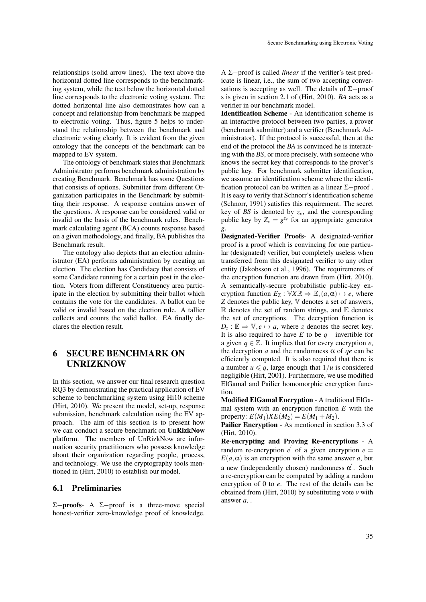relationships (solid arrow lines). The text above the horizontal dotted line corresponds to the benchmarking system, while the text below the horizontal dotted line corresponds to the electronic voting system. The dotted horizontal line also demonstrates how can a concept and relationship from benchmark be mapped to electronic voting. Thus, figure 5 helps to understand the relationship between the benchmark and electronic voting clearly. It is evident from the given ontology that the concepts of the benchmark can be mapped to EV system.

The ontology of benchmark states that Benchmark Administrator performs benchmark administration by creating Benchmark. Benchmark has some Questions that consists of options. Submitter from different Organization participates in the Benchmark by submitting their response. A response contains answer of the questions. A response can be considered valid or invalid on the basis of the benchmark rules. Benchmark calculating agent (BCA) counts response based on a given methodology, and finally, BA publishes the Benchmark result.

The ontology also depicts that an election administrator (EA) performs administration by creating an election. The election has Candidacy that consists of some Candidate running for a certain post in the election. Voters from different Constituency area participate in the election by submitting their ballot which contains the vote for the candidates. A ballot can be valid or invalid based on the election rule. A tallier collects and counts the valid ballot. EA finally declares the election result.

# 6 SECURE BENCHMARK ON UNRIZKNOW

In this section, we answer our final research question RQ3 by demonstrating the practical application of EV scheme to benchmarking system using Hi10 scheme (Hirt, 2010). We present the model, set-up, response submission, benchmark calculation using the EV approach. The aim of this section is to present how we can conduct a secure benchmark on UnRizkNow platform. The members of UnRizkNow are information security practitioners who possess knowledge about their organization regarding people, process, and technology. We use the cryptography tools mentioned in (Hirt, 2010) to establish our model.

### 6.1 Preliminaries

Σ−proofs- A Σ−proof is a three-move special honest-verifier zero-knowledge proof of knowledge.

A Σ−proof is called *linear* if the verifier's test predicate is linear, i.e., the sum of two accepting conversations is accepting as well. The details of Σ−proof s is given in section 2.1 of (Hirt, 2010). *BA* acts as a verifier in our benchmark model.

Identification Scheme - An identification scheme is an interactive protocol between two parties, a prover (benchmark submitter) and a verifier (Benchmark Administrator). If the protocol is successful, then at the end of the protocol the *BA* is convinced he is interacting with the *BS*, or more precisely, with someone who knows the secret key that corresponds to the prover's public key. For benchmark submitter identification, we assume an identification scheme where the identification protocol can be written as a linear  $\Sigma$ −proof. It is easy to verify that Schnorr's identification scheme (Schnorr, 1991) satisfies this requirement. The secret key of *BS* is denoted by  $z_v$ , and the corresponding public key by  $Z_v = g^{z_v}$  for an appropriate generator *g*.

Designated-Verifier Proofs- A designated-verifier proof is a proof which is convincing for one particular (designated) verifier, but completely useless when transferred from this designated verifier to any other entity (Jakobsson et al., 1996). The requirements of the encryption function are drawn from (Hirt, 2010). A semantically-secure probabilistic public-key encryption function  $E_Z : \mathbb{V}X\mathbb{R} \Rightarrow \mathbb{E}, (a, \alpha) \mapsto e$ , where *Z* denotes the public key, V denotes a set of answers,  $\mathbb R$  denotes the set of random strings, and  $\mathbb E$  denotes the set of encryptions. The decryption function is  $D_z$ :  $\mathbb{E} \Rightarrow \mathbb{V}, e \mapsto a$ , where *z* denotes the secret key. It is also required to have *E* to be *q*− invertible for a given  $q \in \mathbb{Z}$ . It implies that for every encryption *e*, the decryption *a* and the randomness  $\alpha$  of *qe* can be efficiently computed. It is also required that there is a number  $u \leq q$ , large enough that  $1/u$  is considered negligible (Hirt, 2001). Furthermore, we use modified ElGamal and Pailier homomorphic encryption function.

Modified ElGamal Encryption - A traditional ElGamal system with an encryption function *E* with the property:  $E(M_1)XE(M_2) = E(M_1 + M_2)$ .

Pailier Encryption - As mentioned in section 3.3 of (Hirt, 2010).

Re-encrypting and Proving Re-encryptions - A random re-encryption  $e'$  of a given encryption  $e =$  $E(a, \alpha)$  is an encryption with the same answer *a*, but a new (independently chosen) randomness  $\alpha'$ . Such a re-encryption can be computed by adding a random encryption of 0 to *e*. The rest of the details can be obtained from (Hirt, 2010) by substituting vote *v* with answer *a*, .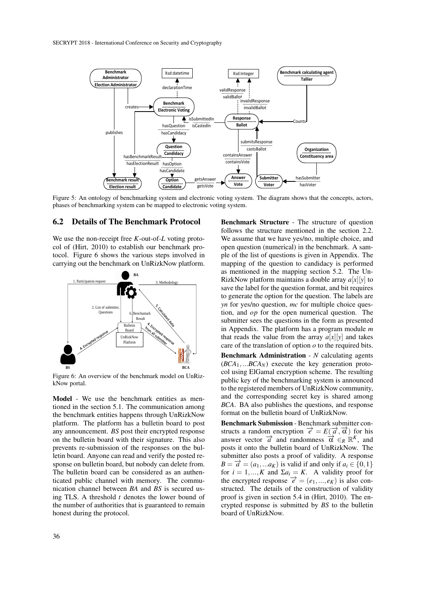

Figure 5: An ontology of benchmarking system and electronic voting system. The diagram shows that the concepts, actors, phases of benchmarking system can be mapped to electronic voting system.

### 6.2 Details of The Benchmark Protocol

We use the non-receipt free *K*-out-of-*L* voting protocol of (Hirt, 2010) to establish our benchmark protocol. Figure 6 shows the various steps involved in carrying out the benchmark on UnRizkNow platform.



Figure 6: An overview of the benchmark model on UnRizkNow portal.

Model - We use the benchmark entities as mentioned in the section 5.1. The communication among the benchmark entities happens through UnRizkNow platform. The platform has a bulletin board to post any announcement. *BS* post their encrypted response on the bulletin board with their signature. This also prevents re-submission of the responses on the bulletin board. Anyone can read and verify the posted response on bulletin board, but nobody can delete from. The bulletin board can be considered as an authenticated public channel with memory. The communication channel between *BA* and *BS* is secured using TLS. A threshold *t* denotes the lower bound of the number of authorities that is guaranteed to remain honest during the protocol.

Benchmark Structure - The structure of question follows the structure mentioned in the section 2.2. We assume that we have yes/no, multiple choice, and open question (numerical) in the benchmark. A sample of the list of questions is given in Appendix. The mapping of the question to candidacy is performed as mentioned in the mapping section 5.2. The Un-RizkNow platform maintains a double array  $a[x][y]$  to save the label for the question format, and bit requires to generate the option for the question. The labels are *yn* for yes/no question, *mc* for multiple choice question, and *op* for the open numerical question. The submitter sees the questions in the form as presented in Appendix. The platform has a program module *m* that reads the value from the array  $a[x][y]$  and takes care of the translation of option *o* to the required bits.

Benchmark Administration - *N* calculating agents  $(BCA<sub>1</sub>,...BCA<sub>N</sub>)$  execute the key generation protocol using ElGamal encryption scheme. The resulting public key of the benchmarking system is announced to the registered members of UnRizkNow community, and the corresponding secret key is shared among *BCA*. BA also publishes the questions, and response format on the bulletin board of UnRizkNow.

Benchmark Submission - Benchmark submitter constructs a random encryption  $\vec{e} = E(\vec{a}, \vec{\alpha})$  for his answer vector  $\vec{a}$  and randomness  $\vec{\alpha} \in_R \mathbb{R}^K$ , and posts it onto the bulletin board of UnRizkNow. The submitter also posts a proof of validity. A response  $B = \overrightarrow{a} = (a_1, \dots, a_K)$  is valid if and only if  $a_i \in \{0, 1\}$ for  $i = 1, ..., K$  and  $\Sigma a_i = K$ . A validity proof for the encrypted response  $\vec{e} = (e_1, ..., e_K)$  is also constructed. The details of the construction of validity proof is given in section 5.4 in (Hirt, 2010). The encrypted response is submitted by *BS* to the bulletin board of UnRizkNow.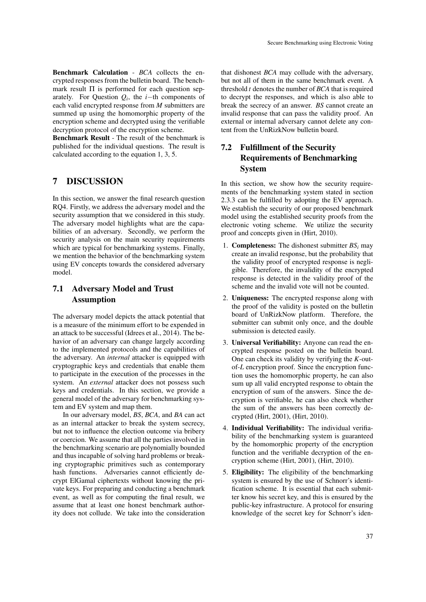Benchmark Calculation - *BCA* collects the encrypted responses from the bulletin board. The benchmark result Π is performed for each question separately. For Question  $Q_i$ , the *i*−th components of each valid encrypted response from *M* submitters are summed up using the homomorphic property of the encryption scheme and decrypted using the verifiable decryption protocol of the encryption scheme.

Benchmark Result - The result of the benchmark is published for the individual questions. The result is calculated according to the equation 1, 3, 5.

## 7 DISCUSSION

In this section, we answer the final research question RQ4. Firstly, we address the adversary model and the security assumption that we considered in this study. The adversary model highlights what are the capabilities of an adversary. Secondly, we perform the security analysis on the main security requirements which are typical for benchmarking systems. Finally, we mention the behavior of the benchmarking system using EV concepts towards the considered adversary model.

## 7.1 Adversary Model and Trust Assumption

The adversary model depicts the attack potential that is a measure of the minimum effort to be expended in an attack to be successful (Idrees et al., 2014). The behavior of an adversary can change largely according to the implemented protocols and the capabilities of the adversary. An *internal* attacker is equipped with cryptographic keys and credentials that enable them to participate in the execution of the processes in the system. An *external* attacker does not possess such keys and credentials. In this section, we provide a general model of the adversary for benchmarking system and EV system and map them.

In our adversary model, *BS*, *BCA*, and *BA* can act as an internal attacker to break the system secrecy, but not to influence the election outcome via bribery or coercion. We assume that all the parties involved in the benchmarking scenario are polynomially bounded and thus incapable of solving hard problems or breaking cryptographic primitives such as contemporary hash functions. Adversaries cannot efficiently decrypt ElGamal ciphertexts without knowing the private keys. For preparing and conducting a benchmark event, as well as for computing the final result, we assume that at least one honest benchmark authority does not collude. We take into the consideration

that dishonest *BCA* may collude with the adversary, but not all of them in the same benchmark event. A threshold *t* denotes the number of *BCA* that is required to decrypt the responses, and which is also able to break the secrecy of an answer. *BS* cannot create an invalid response that can pass the validity proof. An external or internal adversary cannot delete any content from the UnRizkNow bulletin board.

# 7.2 Fulfillment of the Security Requirements of Benchmarking **System**

In this section, we show how the security requirements of the benchmarking system stated in section 2.3.3 can be fulfilled by adopting the EV approach. We establish the security of our proposed benchmark model using the established security proofs from the electronic voting scheme. We utilize the security proof and concepts given in (Hirt, 2010).

- 1. **Completeness:** The dishonest submitter  $BS_i$  may create an invalid response, but the probability that the validity proof of encrypted response is negligible. Therefore, the invalidity of the encrypted response is detected in the validity proof of the scheme and the invalid vote will not be counted.
- 2. Uniqueness: The encrypted response along with the proof of the validity is posted on the bulletin board of UnRizkNow platform. Therefore, the submitter can submit only once, and the double submission is detected easily.
- 3. Universal Verifiability: Anyone can read the encrypted response posted on the bulletin board. One can check its validity by verifying the *K*-outof-*L* encryption proof. Since the encryption function uses the homomorphic property, he can also sum up all valid encrypted response to obtain the encryption of sum of the answers. Since the decryption is verifiable, he can also check whether the sum of the answers has been correctly decrypted (Hirt, 2001), (Hirt, 2010).
- 4. Individual Verifiability: The individual verifiability of the benchmarking system is guaranteed by the homomorphic property of the encryption function and the verifiable decryption of the encryption scheme (Hirt, 2001), (Hirt, 2010).
- 5. Eligibility: The eligibility of the benchmarking system is ensured by the use of Schnorr's identification scheme. It is essential that each submitter know his secret key, and this is ensured by the public-key infrastructure. A protocol for ensuring knowledge of the secret key for Schnorr's iden-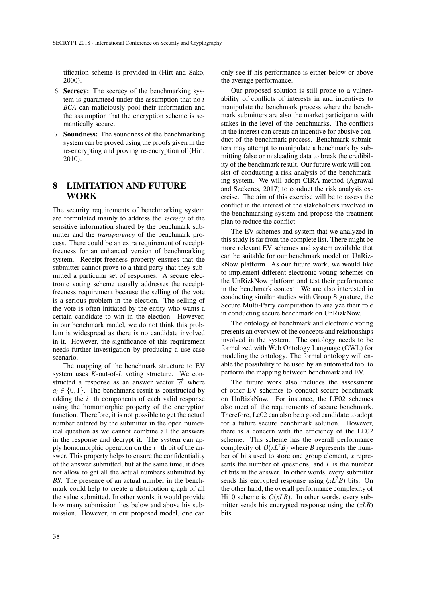tification scheme is provided in (Hirt and Sako, 2000).

- 6. Secrecy: The secrecy of the benchmarking system is guaranteed under the assumption that no *t BCA* can maliciously pool their information and the assumption that the encryption scheme is semantically secure.
- 7. Soundness: The soundness of the benchmarking system can be proved using the proofs given in the re-encrypting and proving re-encryption of (Hirt, 2010).

# 8 LIMITATION AND FUTURE WORK

The security requirements of benchmarking system are formulated mainly to address the *secrecy* of the sensitive information shared by the benchmark submitter and the *transparency* of the benchmark process. There could be an extra requirement of receiptfreeness for an enhanced version of benchmarking system. Receipt-freeness property ensures that the submitter cannot prove to a third party that they submitted a particular set of responses. A secure electronic voting scheme usually addresses the receiptfreeness requirement because the selling of the vote is a serious problem in the election. The selling of the vote is often initiated by the entity who wants a certain candidate to win in the election. However, in our benchmark model, we do not think this problem is widespread as there is no candidate involved in it. However, the significance of this requirement needs further investigation by producing a use-case scenario.

The mapping of the benchmark structure to EV system uses *K*-out-of-*L* voting structure. We constructed a response as an answer vector  $\vec{a}$  where  $a_i \in \{0, 1\}$ . The benchmark result is constructed by adding the *i*−th components of each valid response using the homomorphic property of the encryption function. Therefore, it is not possible to get the actual number entered by the submitter in the open numerical question as we cannot combine all the answers in the response and decrypt it. The system can apply homomorphic operation on the *i*−th bit of the answer. This property helps to ensure the confidentiality of the answer submitted, but at the same time, it does not allow to get all the actual numbers submitted by *BS*. The presence of an actual number in the benchmark could help to create a distribution graph of all the value submitted. In other words, it would provide how many submission lies below and above his submission. However, in our proposed model, one can only see if his performance is either below or above the average performance.

Our proposed solution is still prone to a vulnerability of conflicts of interests in and incentives to manipulate the benchmark process where the benchmark submitters are also the market participants with stakes in the level of the benchmarks. The conflicts in the interest can create an incentive for abusive conduct of the benchmark process. Benchmark submitters may attempt to manipulate a benchmark by submitting false or misleading data to break the credibility of the benchmark result. Our future work will consist of conducting a risk analysis of the benchmarking system. We will adopt CIRA method (Agrawal and Szekeres, 2017) to conduct the risk analysis exercise. The aim of this exercise will be to assess the conflict in the interest of the stakeholders involved in the benchmarking system and propose the treatment plan to reduce the conflict.

The EV schemes and system that we analyzed in this study is far from the complete list. There might be more relevant EV schemes and system available that can be suitable for our benchmark model on UnRizkNow platform. As our future work, we would like to implement different electronic voting schemes on the UnRizkNow platform and test their performance in the benchmark context. We are also interested in conducting similar studies with Group Signature, the Secure Multi-Party computation to analyze their role in conducting secure benchmark on UnRizkNow.

The ontology of benchmark and electronic voting presents an overview of the concepts and relationships involved in the system. The ontology needs to be formalized with Web Ontology Language (OWL) for modeling the ontology. The formal ontology will enable the possibility to be used by an automated tool to perform the mapping between benchmark and EV.

The future work also includes the assessment of other EV schemes to conduct secure benchmark on UnRizkNow. For instance, the LE02 schemes also meet all the requirements of secure benchmark. Therefore, Le02 can also be a good candidate to adopt for a future secure benchmark solution. However, there is a concern with the efficiency of the LE02 scheme. This scheme has the overall performance complexity of  $O(xL^2B)$  where *B* represents the number of bits used to store one group element, *x* represents the number of questions, and *L* is the number of bits in the answer. In other words, every submitter sends his encrypted response using  $(xL^2B)$  bits. On the other hand, the overall performance complexity of Hi10 scheme is  $O(xLB)$ . In other words, every submitter sends his encrypted response using the (*xLB*) bits.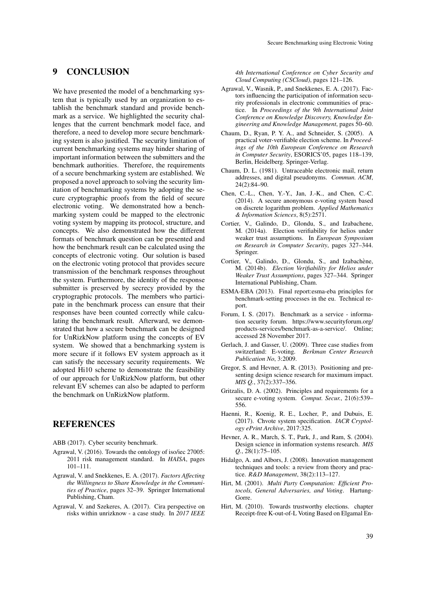## 9 CONCLUSION

We have presented the model of a benchmarking system that is typically used by an organization to establish the benchmark standard and provide benchmark as a service. We highlighted the security challenges that the current benchmark model face, and therefore, a need to develop more secure benchmarking system is also justified. The security limitation of current benchmarking systems may hinder sharing of important information between the submitters and the benchmark authorities. Therefore, the requirements of a secure benchmarking system are established. We proposed a novel approach to solving the security limitation of benchmarking systems by adopting the secure cryptographic proofs from the field of secure electronic voting. We demonstrated how a benchmarking system could be mapped to the electronic voting system by mapping its protocol, structure, and concepts. We also demonstrated how the different formats of benchmark question can be presented and how the benchmark result can be calculated using the concepts of electronic voting. Our solution is based on the electronic voting protocol that provides secure transmission of the benchmark responses throughout the system. Furthermore, the identity of the response submitter is preserved by secrecy provided by the cryptographic protocols. The members who participate in the benchmark process can ensure that their responses have been counted correctly while calculating the benchmark result. Afterward, we demonstrated that how a secure benchmark can be designed for UnRizkNow platform using the concepts of EV system. We showed that a benchmarking system is more secure if it follows EV system approach as it can satisfy the necessary security requirements. We adopted Hi10 scheme to demonstrate the feasibility of our approach for UnRizkNow platform, but other relevant EV schemes can also be adapted to perform the benchmark on UnRizkNow platform.

### REFERENCES

ABB (2017). Cyber security benchmark.

- Agrawal, V. (2016). Towards the ontology of iso/iec 27005: 2011 risk management standard. In *HAISA*, pages 101–111.
- Agrawal, V. and Snekkenes, E. A. (2017). *Factors Affecting the Willingness to Share Knowledge in the Communities of Practice*, pages 32–39. Springer International Publishing, Cham.
- Agrawal, V. and Szekeres, A. (2017). Cira perspective on risks within unrizknow - a case study. In *2017 IEEE*

*4th International Conference on Cyber Security and Cloud Computing (CSCloud)*, pages 121–126.

- Agrawal, V., Wasnik, P., and Snekkenes, E. A. (2017). Factors influencing the participation of information security professionals in electronic communities of practice. In *Proceedings of the 9th International Joint Conference on Knowledge Discovery, Knowledge Engineering and Knowledge Management*, pages 50–60.
- Chaum, D., Ryan, P. Y. A., and Schneider, S. (2005). A practical voter-verifiable election scheme. In *Proceedings of the 10th European Conference on Research in Computer Security*, ESORICS'05, pages 118–139, Berlin, Heidelberg. Springer-Verlag.
- Chaum, D. L. (1981). Untraceable electronic mail, return addresses, and digital pseudonyms. *Commun. ACM*, 24(2):84–90.
- Chen, C.-L., Chen, Y.-Y., Jan, J.-K., and Chen, C.-C. (2014). A secure anonymous e-voting system based on discrete logarithm problem. *Applied Mathematics & Information Sciences*, 8(5):2571.
- Cortier, V., Galindo, D., Glondu, S., and Izabachene, M. (2014a). Election verifiability for helios under weaker trust assumptions. In *European Symposium on Research in Computer Security*, pages 327–344. Springer.
- Cortier, V., Galindo, D., Glondu, S., and Izabachène, M. (2014b). *Election Verifiability for Helios under Weaker Trust Assumptions*, pages 327–344. Springer International Publishing, Cham.
- ESMA-EBA (2013). Final report:esma-eba principles for benchmark-setting processes in the eu. Technical report.
- Forum, I. S. (2017). Benchmark as a service information security forum. https://www.securityforum.org/ products-services/benchmark-as-a-service/. Online; accessed 28 November 2017.
- Gerlach, J. and Gasser, U. (2009). Three case studies from switzerland: E-voting. *Berkman Center Research Publication No*, 3:2009.
- Gregor, S. and Hevner, A. R. (2013). Positioning and presenting design science research for maximum impact. *MIS Q.*, 37(2):337–356.
- Gritzalis, D. A. (2002). Principles and requirements for a secure e-voting system. *Comput. Secur.*, 21(6):539– 556.
- Haenni, R., Koenig, R. E., Locher, P., and Dubuis, E. (2017). Chvote system specification. *IACR Cryptology ePrint Archive*, 2017:325.
- Hevner, A. R., March, S. T., Park, J., and Ram, S. (2004). Design science in information systems research. *MIS Q.*, 28(1):75–105.
- Hidalgo, A. and Albors, J. (2008). Innovation management techniques and tools: a review from theory and practice. *R&D Management*, 38(2):113–127.
- Hirt, M. (2001). *Multi Party Computation: Efficient Protocols, General Adversaries, and Voting*. Hartung-Gorre.
- Hirt, M. (2010). Towards trustworthy elections. chapter Receipt-free K-out-of-L Voting Based on Elgamal En-